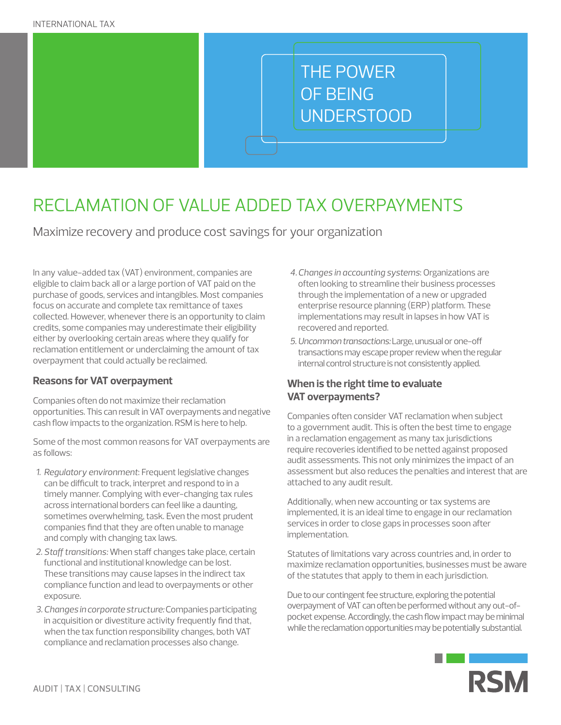# THE POWER OF BEING UNDERSTOOD

# RECLAMATION OF VALUE ADDED TAX OVERPAYMENTS

Maximize recovery and produce cost savings for your organization

In any value-added tax (VAT) environment, companies are eligible to claim back all or a large portion of VAT paid on the purchase of goods, services and intangibles. Most companies focus on accurate and complete tax remittance of taxes collected. However, whenever there is an opportunity to claim credits, some companies may underestimate their eligibility either by overlooking certain areas where they qualify for reclamation entitlement or underclaiming the amount of tax overpayment that could actually be reclaimed.

### **Reasons for VAT overpayment**

Companies often do not maximize their reclamation opportunities. This can result in VAT overpayments and negative cash flow impacts to the organization. RSM is here to help.

Some of the most common reasons for VAT overpayments are as follows:

- *1. Regulatory environment*: Frequent legislative changes can be difficult to track, interpret and respond to in a timely manner. Complying with ever-changing tax rules across international borders can feel like a daunting, sometimes overwhelming, task. Even the most prudent companies find that they are often unable to manage and comply with changing tax laws.
- *2. Staff transitions:* When staff changes take place, certain functional and institutional knowledge can be lost. These transitions may cause lapses in the indirect tax compliance function and lead to overpayments or other exposure.
- *3.Changes in corporate structure:* Companies participating in acquisition or divestiture activity frequently find that, when the tax function responsibility changes, both VAT compliance and reclamation processes also change.
- *4.Changes in accounting systems*: Organizations are often looking to streamline their business processes through the implementation of a new or upgraded enterprise resource planning (ERP) platform. These implementations may result in lapses in how VAT is recovered and reported.
- *5. Uncommon transactions:* Large, unusual or one-off transactions may escape proper review when the regular internal control structure is not consistently applied.

### **When is the right time to evaluate VAT overpayments?**

Companies often consider VAT reclamation when subject to a government audit. This is often the best time to engage in a reclamation engagement as many tax jurisdictions require recoveries identified to be netted against proposed audit assessments. This not only minimizes the impact of an assessment but also reduces the penalties and interest that are attached to any audit result.

Additionally, when new accounting or tax systems are implemented, it is an ideal time to engage in our reclamation services in order to close gaps in processes soon after implementation.

Statutes of limitations vary across countries and, in order to maximize reclamation opportunities, businesses must be aware of the statutes that apply to them in each jurisdiction.

Due to our contingent fee structure, exploring the potential overpayment of VAT can often be performed without any out-ofpocket expense. Accordingly, the cash flow impact may be minimal while the reclamation opportunities may be potentially substantial.